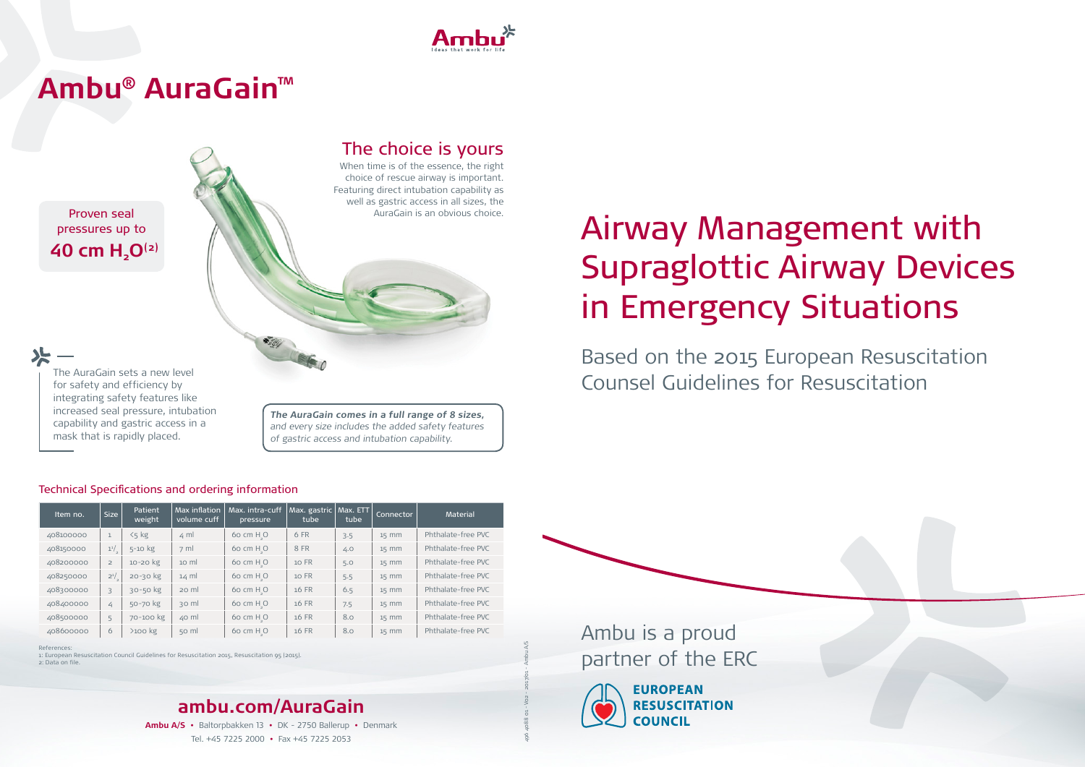**Ambu A/S •** Baltorpbakken 13 **•** DK - 2750 Ballerup **•** Denmark Tel. +45 7225 2000 **•** Fax +45 7225 2053

Proven seal pressures up to  **40 cm H2O(2)**

#### The AuraGain sets a new level for safety and efficiency by integrating safety features like increased seal pressure, intubation capability and gastric access in a mask that is rapidly placed.

References:

1: European Resuscitation Council Guidelines for Resuscitation 2015, Resuscitation 95 (2015).

2: Data on file.

**The AuraGain comes in a full range of 8 sizes,** and every size includes the added safety features of gastric access and intubation capability.

496 4088 01 - V02 - 2017/01 - Ambu A/S

### Technical Specifications and ordering information

# AuraGain is an obvious choice.<br> **Airway Management with** Supraglottic Airway Devices in Emergency Situations

| Item no.  | Size           | Patient<br>weight | Max inflation<br>volume cuff | Max. intra-cuff<br>pressure | Max. gastric<br>tube | Max. ETT<br>tube | <b>Connector</b> | <b>Material</b>    |
|-----------|----------------|-------------------|------------------------------|-----------------------------|----------------------|------------------|------------------|--------------------|
| 408100000 |                | $5<$ kg           | $4 \text{ ml}$               | 60 cm $HsO$                 | 6 FR                 | 3.5              | $15$ mm          | Phthalate-free PVC |
| 408150000 | $1^{1/2}$      | $5-10$ kg         | $7 \text{ ml}$               | 60 cm H <sub>-</sub> O      | 8 FR                 | 4.0              | $15$ mm          | Phthalate-free PVC |
| 408200000 | $\overline{2}$ | 10-20 kg          | $10 \text{ ml}$              | $60 \text{ cm } H_{\circ}O$ | 10 FR                | 5.0              | $15$ mm          | Phthalate-free PVC |
| 408250000 | $2^{1/2}$      | $20 - 30$ kg      | $14 \text{ ml}$              | 60 cm H <sub>-</sub> O      | 10 FR                | 5.5              | $15$ mm          | Phthalate-free PVC |
| 408300000 | 3              | 30-50 kg          | $20$ m                       | $60 \text{ cm } H_{\circ}O$ | 16 FR                | 6.5              | $15$ mm          | Phthalate-free PVC |
| 408400000 | 4              | 50-70 kg          | 30 ml                        | $60 \text{ cm } H_{\circ}O$ | 16 FR                | 7.5              | $15$ mm          | Phthalate-free PVC |
| 408500000 | 5              | 70-100 kg         | $40$ ml                      | $60 \text{ cm } H_{\circ}O$ | 16 FR                | 8.0              | $15$ mm          | Phthalate-free PVC |
| 408600000 | 6              | $>100$ kg         | $50$ m                       | 60 cm $HsO$                 | 16 FR                | 8.0              | $15$ mm          | Phthalate-free PVC |



# **Ambu® AuraGain™**



### The choice is yours

When time is of the essence, the right choice of rescue airway is important. Featuring direct intubation capability as well as gastric access in all sizes, the

> Based on the 2015 European Resuscitation Counsel Guidelines for Resuscitation

Ambu is a proud partner of the ERC



**EUROPEAN RESUSCITATION COUNCIL**